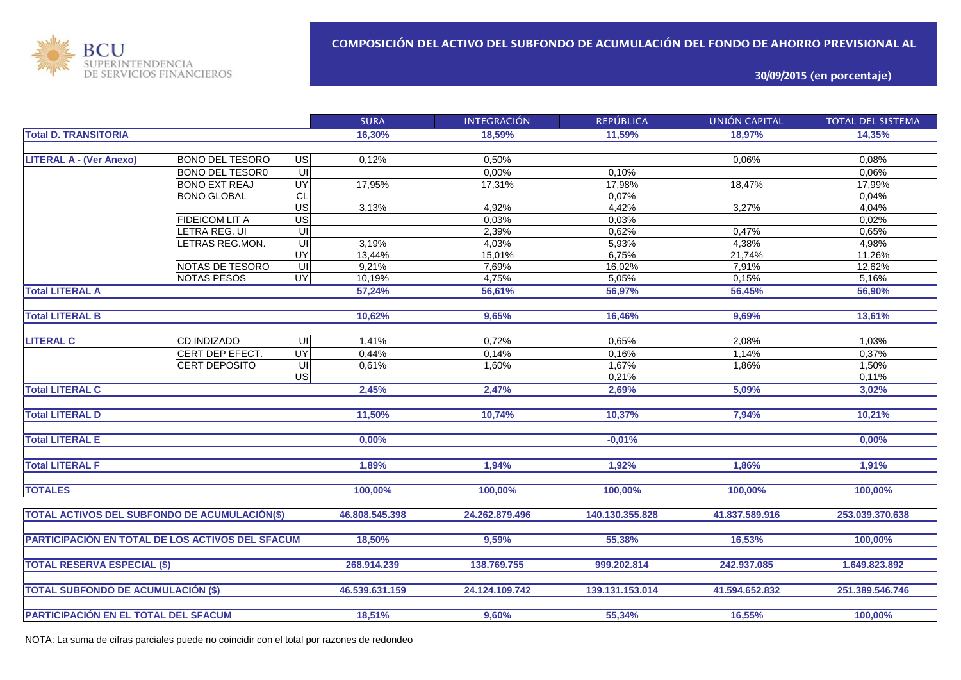

**30/09/2015 (en porcentaje)**

|                                                  |                        |                         | <b>SURA</b>    | <b>INTEGRACIÓN</b> | <b>REPÚBLICA</b> | <b>UNIÓN CAPITAL</b> | <b>TOTAL DEL SISTEMA</b> |
|--------------------------------------------------|------------------------|-------------------------|----------------|--------------------|------------------|----------------------|--------------------------|
| <b>Total D. TRANSITORIA</b>                      |                        |                         | 16,30%         | 18.59%             | 11,59%           | 18.97%               | 14,35%                   |
|                                                  |                        |                         |                |                    |                  |                      |                          |
| <b>LITERAL A - (Ver Anexo)</b>                   | <b>BONO DEL TESORO</b> | $\overline{G}$          | 0,12%          | 0,50%              |                  | 0,06%                | 0,08%                    |
|                                                  | <b>BONO DEL TESOR0</b> | $\overline{\mathsf{U}}$ |                | 0,00%              | 0,10%            |                      | 0,06%                    |
|                                                  | <b>BONO EXT REAJ</b>   | UY                      | 17,95%         | 17,31%             | 17,98%           | 18,47%               | 17,99%                   |
|                                                  | <b>BONO GLOBAL</b>     | $\overline{C}$          |                |                    | 0,07%            |                      | 0,04%                    |
|                                                  |                        | US                      | 3,13%          | 4,92%              | 4,42%            | 3,27%                | 4,04%                    |
|                                                  | <b>FIDEICOM LIT A</b>  | US                      |                | 0.03%              | 0,03%            |                      | 0,02%                    |
|                                                  | LETRA REG. UI          | UI                      |                | 2,39%              | 0,62%            | 0,47%                | 0,65%                    |
|                                                  | LETRAS REG.MON.        | UI                      | 3,19%          | 4,03%              | 5,93%            | 4,38%                | 4,98%                    |
|                                                  |                        | UY                      | 13,44%         | 15,01%             | 6,75%            | 21,74%               | 11,26%                   |
|                                                  | NOTAS DE TESORO        | UI                      | 9,21%          | 7,69%              | 16,02%           | 7,91%                | 12,62%                   |
|                                                  | <b>NOTAS PESOS</b>     | <b>UY</b>               | 10,19%         | 4,75%              | 5,05%            | 0,15%                | 5,16%                    |
| <b>Total LITERAL A</b>                           |                        |                         | 57,24%         | 56,61%             | 56,97%           | 56,45%               | 56,90%                   |
|                                                  |                        |                         |                |                    |                  |                      |                          |
| <b>Total LITERAL B</b>                           |                        |                         | 10,62%         | 9,65%              | 16,46%           | 9,69%                | 13,61%                   |
|                                                  |                        |                         |                |                    |                  |                      |                          |
| <b>LITERAL C</b>                                 | <b>CD INDIZADO</b>     | $\overline{\mathsf{C}}$ | 1,41%          | 0,72%              | 0,65%            | 2,08%                | 1,03%                    |
|                                                  | CERT DEP EFECT.        | $\overline{\mathsf{C}}$ | 0,44%          | 0,14%              | 0,16%            | 1,14%                | 0,37%                    |
|                                                  | CERT DEPOSITO          | $\subseteq$             | 0,61%          | 1,60%              | 1,67%            | 1,86%                | 1,50%                    |
|                                                  |                        | US                      |                |                    | 0,21%            |                      | 0,11%                    |
| <b>Total LITERAL C</b>                           |                        |                         | 2,45%          | 2,47%              | 2,69%            | 5,09%                | 3,02%                    |
|                                                  |                        |                         |                |                    |                  |                      |                          |
| <b>Total LITERAL D</b>                           |                        |                         | 11,50%         | 10,74%             | 10,37%           | 7,94%                | 10,21%                   |
|                                                  |                        |                         |                |                    |                  |                      |                          |
| <b>Total LITERAL E</b>                           |                        |                         | 0,00%          |                    | $-0,01%$         |                      | 0,00%                    |
|                                                  |                        |                         |                |                    |                  |                      |                          |
| <b>Total LITERAL F</b>                           |                        |                         | 1.89%          | 1,94%              | 1,92%            | 1,86%                | 1,91%                    |
|                                                  |                        |                         |                |                    |                  |                      |                          |
| <b>TOTALES</b>                                   |                        |                         | 100,00%        | 100,00%            | 100,00%          | 100,00%              | 100,00%                  |
|                                                  |                        |                         |                |                    |                  |                      |                          |
| TOTAL ACTIVOS DEL SUBFONDO DE ACUMULACIÓN(\$)    |                        |                         | 46.808.545.398 | 24.262.879.496     | 140.130.355.828  | 41.837.589.916       | 253.039.370.638          |
|                                                  |                        |                         |                |                    |                  |                      |                          |
| PARTICIPACIÓN EN TOTAL DE LOS ACTIVOS DEL SFACUM |                        |                         | 18,50%         | 9,59%              | 55,38%           | 16,53%               | 100,00%                  |
|                                                  |                        |                         |                |                    |                  |                      |                          |
| <b>TOTAL RESERVA ESPECIAL (\$)</b>               |                        |                         | 268.914.239    | 138.769.755        | 999.202.814      | 242.937.085          | 1.649.823.892            |
|                                                  |                        |                         |                |                    |                  |                      |                          |
| <b>TOTAL SUBFONDO DE ACUMULACIÓN (\$)</b>        |                        |                         | 46.539.631.159 | 24.124.109.742     | 139.131.153.014  | 41.594.652.832       | 251.389.546.746          |
|                                                  |                        |                         |                |                    |                  |                      |                          |
|                                                  |                        |                         | 18,51%         | 9,60%              | 55,34%           | 16,55%               | 100,00%                  |
| PARTICIPACIÓN EN EL TOTAL DEL SFACUM             |                        |                         |                |                    |                  |                      |                          |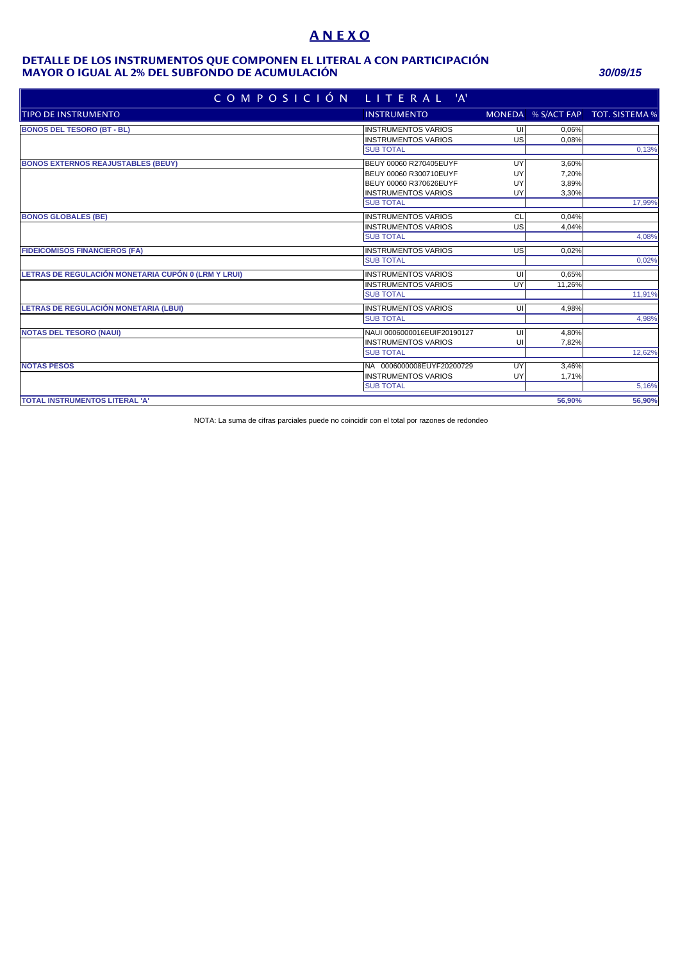# **A N E X O**

#### **MAYOR O IGUAL AL 2% DEL SUBFONDO DE ACUMULACIÓN** *30/09/15* **DETALLE DE LOS INSTRUMENTOS QUE COMPONEN EL LITERAL A CON PARTICIPACIÓN**

| COMPOSICIÓN LITERAL 'A'                             |                             |    |        |                                   |
|-----------------------------------------------------|-----------------------------|----|--------|-----------------------------------|
| TIPO DE INSTRUMENTO                                 | <b>INSTRUMENTO</b>          |    |        | MONEDA % S/ACT FAP TOT. SISTEMA % |
| <b>BONOS DEL TESORO (BT - BL)</b>                   | <b>INSTRUMENTOS VARIOS</b>  | UI | 0.06%  |                                   |
|                                                     | <b>INSTRUMENTOS VARIOS</b>  | US | 0,08%  |                                   |
|                                                     | <b>SUB TOTAL</b>            |    |        | 0,13%                             |
| <b>BONOS EXTERNOS REAJUSTABLES (BEUY)</b>           | BEUY 00060 R270405EUYF      | UY | 3,60%  |                                   |
|                                                     | BEUY 00060 R300710EUYF      | UY | 7,20%  |                                   |
|                                                     | BEUY 00060 R370626EUYF      | UY | 3,89%  |                                   |
|                                                     | <b>INSTRUMENTOS VARIOS</b>  | UY | 3,30%  |                                   |
|                                                     | <b>SUB TOTAL</b>            |    |        | 17,99%                            |
| <b>BONOS GLOBALES (BE)</b>                          | <b>INSTRUMENTOS VARIOS</b>  | CL | 0.04%  |                                   |
|                                                     | <b>INSTRUMENTOS VARIOS</b>  | US | 4,04%  |                                   |
|                                                     | <b>SUB TOTAL</b>            |    |        | 4,08%                             |
| <b>FIDEICOMISOS FINANCIEROS (FA)</b>                | <b>INSTRUMENTOS VARIOS</b>  | US | 0,02%  |                                   |
|                                                     | <b>SUB TOTAL</b>            |    |        | 0,02%                             |
| LETRAS DE REGULACIÓN MONETARIA CUPÓN 0 (LRM Y LRUI) | <b>INSTRUMENTOS VARIOS</b>  | UI | 0,65%  |                                   |
|                                                     | <b>INSTRUMENTOS VARIOS</b>  | UY | 11,26% |                                   |
|                                                     | <b>SUB TOTAL</b>            |    |        | 11,91%                            |
| LETRAS DE REGULACIÓN MONETARIA (LBUI)               | <b>INSTRUMENTOS VARIOS</b>  | U  | 4.98%  |                                   |
|                                                     | <b>SUB TOTAL</b>            |    |        | 4,98%                             |
| <b>NOTAS DEL TESORO (NAUI)</b>                      | NAUI 0006000016EUIF20190127 | UI | 4,80%  |                                   |
|                                                     | <b>INSTRUMENTOS VARIOS</b>  | UI | 7,82%  |                                   |
|                                                     | <b>SUB TOTAL</b>            |    |        | 12,62%                            |
| <b>NOTAS PESOS</b>                                  | NA 0006000008EUYF20200729   | UY | 3,46%  |                                   |
|                                                     | <b>INSTRUMENTOS VARIOS</b>  | UY | 1,71%  |                                   |
|                                                     | <b>SUB TOTAL</b>            |    |        | 5,16%                             |
| <b>TOTAL INSTRUMENTOS LITERAL 'A'</b>               |                             |    | 56.90% | 56,90%                            |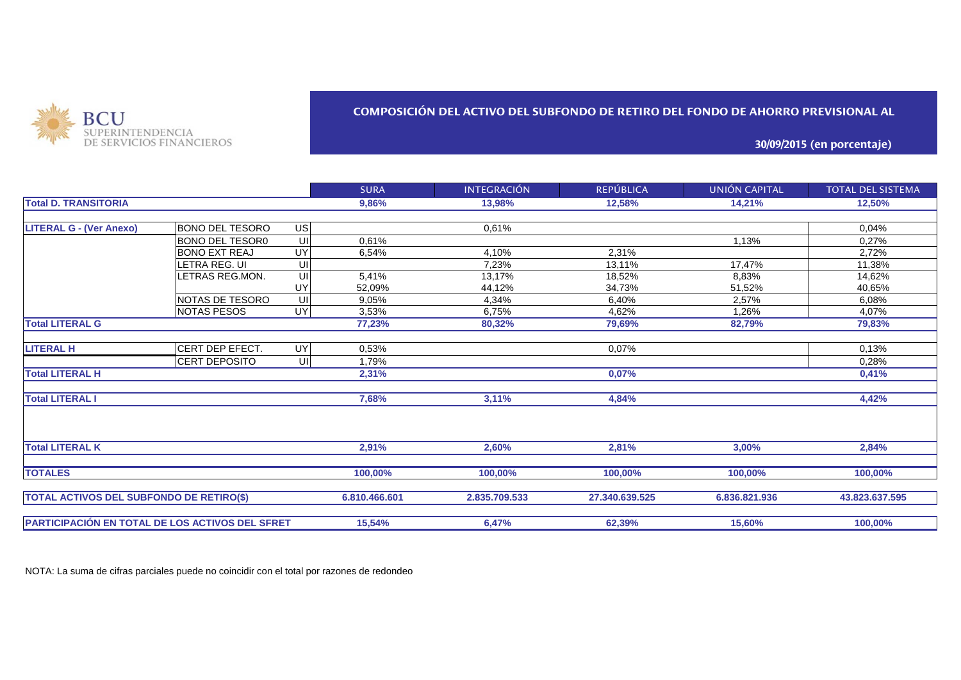

### **COMPOSICIÓN DEL ACTIVO DEL SUBFONDO DE RETIRO DEL FONDO DE AHORRO PREVISIONAL AL**

**30/09/2015 (en porcentaje)**

|                                                        |                        |                         | <b>SURA</b>   | <b>INTEGRACIÓN</b> | <b>REPÚBLICA</b> | UNIÓN CAPITAL | <b>TOTAL DEL SISTEMA</b> |
|--------------------------------------------------------|------------------------|-------------------------|---------------|--------------------|------------------|---------------|--------------------------|
| <b>Total D. TRANSITORIA</b>                            |                        |                         | 9,86%         | 13,98%             | 12,58%           | 14,21%        | 12,50%                   |
|                                                        |                        |                         |               |                    |                  |               |                          |
| <b>LITERAL G - (Ver Anexo)</b>                         | IBONO DEL TESORO       | US                      |               | 0.61%              |                  |               | 0.04%                    |
|                                                        | <b>BONO DEL TESOR0</b> | UII                     | 0.61%         |                    |                  | 1,13%         | 0,27%                    |
|                                                        | <b>BONO EXT REAJ</b>   | UY                      | 6,54%         | 4,10%              | 2,31%            |               | 2,72%                    |
|                                                        | LETRA REG. UI          | UI                      |               | 7,23%              | 13,11%           | 17,47%        | 11,38%                   |
|                                                        | LETRAS REG.MON.        | UI                      | 5,41%         | 13,17%             | 18,52%           | 8,83%         | 14,62%                   |
|                                                        |                        | UY                      | 52,09%        | 44,12%             | 34,73%           | 51,52%        | 40,65%                   |
|                                                        | NOTAS DE TESORO        | UI                      | 9,05%         | 4,34%              | 6,40%            | 2,57%         | 6,08%                    |
|                                                        | <b>NOTAS PESOS</b>     | <b>UY</b>               | 3,53%         | 6,75%              | 4,62%            | 1,26%         | 4,07%                    |
| <b>Total LITERAL G</b>                                 |                        |                         | 77,23%        | 80,32%             | 79,69%           | 82,79%        | 79,83%                   |
|                                                        |                        |                         |               |                    |                  |               |                          |
| <b>LITERAL H</b>                                       | CERT DEP EFECT.        | $\overline{\mathsf{C}}$ | 0,53%         |                    | 0,07%            |               | 0,13%                    |
|                                                        | CERT DEPOSITO          | UI                      | 1,79%         |                    |                  |               | 0.28%                    |
| <b>Total LITERAL H</b>                                 |                        |                         | 2,31%         |                    | 0,07%            |               | 0,41%                    |
| <b>Total LITERAL I</b>                                 |                        |                         | 7,68%         | 3,11%              | 4,84%            |               | 4,42%                    |
|                                                        |                        |                         |               |                    |                  |               |                          |
| <b>Total LITERAL K</b>                                 |                        |                         | 2,91%         | 2,60%              | 2,81%            | 3,00%         | 2,84%                    |
| <b>TOTALES</b>                                         |                        |                         | 100,00%       | 100,00%            | 100,00%          | 100,00%       | 100,00%                  |
| <b>TOTAL ACTIVOS DEL SUBFONDO DE RETIRO(\$)</b>        |                        |                         | 6.810.466.601 | 2.835.709.533      | 27.340.639.525   | 6.836.821.936 | 43.823.637.595           |
| <b>PARTICIPACIÓN EN TOTAL DE LOS ACTIVOS DEL SFRET</b> |                        |                         | 15,54%        | 6,47%              | 62,39%           | 15,60%        | 100,00%                  |